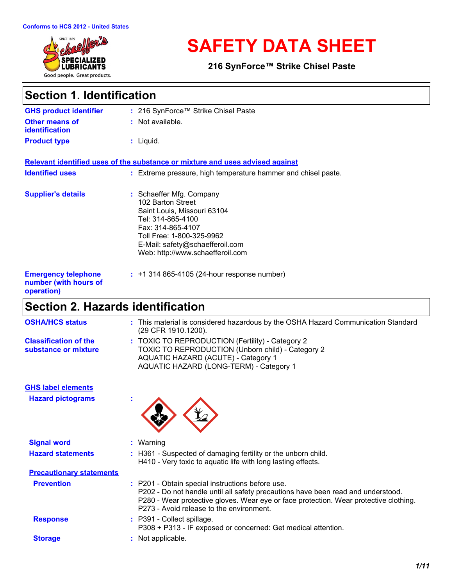

# **SAFETY DATA SHEET**

**216 SynForce™ Strike Chisel Paste**

## **Section 1. Identification**

| <b>GHS product identifier</b>                                     | : 216 SynForce™ Strike Chisel Paste                                                                                                                                                                                        |
|-------------------------------------------------------------------|----------------------------------------------------------------------------------------------------------------------------------------------------------------------------------------------------------------------------|
| <b>Other means of</b><br><b>identification</b>                    | : Not available.                                                                                                                                                                                                           |
| <b>Product type</b>                                               | $:$ Liquid.                                                                                                                                                                                                                |
|                                                                   | Relevant identified uses of the substance or mixture and uses advised against                                                                                                                                              |
| <b>Identified uses</b>                                            | : Extreme pressure, high temperature hammer and chisel paste.                                                                                                                                                              |
| <b>Supplier's details</b>                                         | : Schaeffer Mfg. Company<br>102 Barton Street<br>Saint Louis, Missouri 63104<br>Tel: 314-865-4100<br>Fax: 314-865-4107<br>Toll Free: 1-800-325-9962<br>E-Mail: safety@schaefferoil.com<br>Web: http://www.schaefferoil.com |
| <b>Emergency telephone</b><br>number (with hours of<br>operation) | $: +1314865 - 4105(24 - hour$ response number)                                                                                                                                                                             |

## **Section 2. Hazards identification**

| <b>OSHA/HCS status</b>                               | : This material is considered hazardous by the OSHA Hazard Communication Standard<br>(29 CFR 1910.1200).                                                                                                                                                                  |
|------------------------------------------------------|---------------------------------------------------------------------------------------------------------------------------------------------------------------------------------------------------------------------------------------------------------------------------|
| <b>Classification of the</b><br>substance or mixture | : TOXIC TO REPRODUCTION (Fertility) - Category 2<br><b>TOXIC TO REPRODUCTION (Unborn child) - Category 2</b><br><b>AQUATIC HAZARD (ACUTE) - Category 1</b><br>AQUATIC HAZARD (LONG-TERM) - Category 1                                                                     |
| <b>GHS label elements</b>                            |                                                                                                                                                                                                                                                                           |
| <b>Hazard pictograms</b>                             |                                                                                                                                                                                                                                                                           |
| <b>Signal word</b>                                   | : Warning                                                                                                                                                                                                                                                                 |
| <b>Hazard statements</b>                             | : H361 - Suspected of damaging fertility or the unborn child.<br>H410 - Very toxic to aquatic life with long lasting effects.                                                                                                                                             |
| <b>Precautionary statements</b>                      |                                                                                                                                                                                                                                                                           |
| <b>Prevention</b>                                    | : P201 - Obtain special instructions before use.<br>P202 - Do not handle until all safety precautions have been read and understood.<br>P280 - Wear protective gloves. Wear eye or face protection. Wear protective clothing.<br>P273 - Avoid release to the environment. |
| <b>Response</b>                                      | : P391 - Collect spillage.<br>P308 + P313 - IF exposed or concerned: Get medical attention.                                                                                                                                                                               |
| <b>Storage</b>                                       | : Not applicable.                                                                                                                                                                                                                                                         |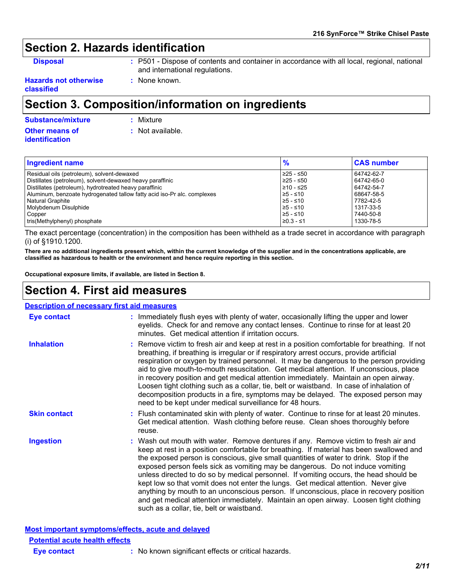## **Section 2. Hazards identification**

**Disposal :** P501 - Dispose of contents and container in accordance with all local, regional, national and international regulations.

**Hazards not otherwise classified**

## **Section 3. Composition/information on ingredients**

**Other means of identification Substance/mixture :** Mixture

**:** Not available.

**:** None known.

| Ingredient name                                                         | $\frac{9}{6}$ | <b>CAS number</b> |  |
|-------------------------------------------------------------------------|---------------|-------------------|--|
| Residual oils (petroleum), solvent-dewaxed                              | ≥25 - ≤50     | 64742-62-7        |  |
| Distillates (petroleum), solvent-dewaxed heavy paraffinic               | ≥25 - ≤50     | 64742-65-0        |  |
| Distillates (petroleum), hydrotreated heavy paraffinic                  | $≥10 - ≤25$   | 64742-54-7        |  |
| Aluminum, benzoate hydrogenated tallow fatty acid iso-Pr alc. complexes | $≥5 - ≤10$    | 68647-58-5        |  |
| Natural Graphite                                                        | $≥5 - ≤10$    | 7782-42-5         |  |
| Molybdenum Disulphide                                                   | $≥5 - ≤10$    | 1317-33-5         |  |
| Copper                                                                  | $≥5 - ≤10$    | 7440-50-8         |  |
| tris(Methylphenyl) phosphate                                            | $≥0.3 - ≤1$   | 1330-78-5         |  |

The exact percentage (concentration) in the composition has been withheld as a trade secret in accordance with paragraph (i) of §1910.1200.

**There are no additional ingredients present which, within the current knowledge of the supplier and in the concentrations applicable, are classified as hazardous to health or the environment and hence require reporting in this section.**

**Occupational exposure limits, if available, are listed in Section 8.**

## **Section 4. First aid measures**

#### Wash out mouth with water. Remove dentures if any. Remove victim to fresh air and **Ingestion :** keep at rest in a position comfortable for breathing. If material has been swallowed and the exposed person is conscious, give small quantities of water to drink. Stop if the exposed person feels sick as vomiting may be dangerous. Do not induce vomiting unless directed to do so by medical personnel. If vomiting occurs, the head should be kept low so that vomit does not enter the lungs. Get medical attention. Never give anything by mouth to an unconscious person. If unconscious, place in recovery position and get medical attention immediately. Maintain an open airway. Loosen tight clothing such as a collar, tie, belt or waistband. **:** Immediately flush eyes with plenty of water, occasionally lifting the upper and lower eyelids. Check for and remove any contact lenses. Continue to rinse for at least 20 minutes. Get medical attention if irritation occurs. Flush contaminated skin with plenty of water. Continue to rinse for at least 20 minutes. **:** Get medical attention. Wash clothing before reuse. Clean shoes thoroughly before reuse. Remove victim to fresh air and keep at rest in a position comfortable for breathing. If not **:** breathing, if breathing is irregular or if respiratory arrest occurs, provide artificial respiration or oxygen by trained personnel. It may be dangerous to the person providing aid to give mouth-to-mouth resuscitation. Get medical attention. If unconscious, place in recovery position and get medical attention immediately. Maintain an open airway. Loosen tight clothing such as a collar, tie, belt or waistband. In case of inhalation of decomposition products in a fire, symptoms may be delayed. The exposed person may need to be kept under medical surveillance for 48 hours. **Eye contact Skin contact Inhalation Description of necessary first aid measures**

**Most important symptoms/effects, acute and delayed Potential acute health effects**

**Eye contact :** No known significant effects or critical hazards.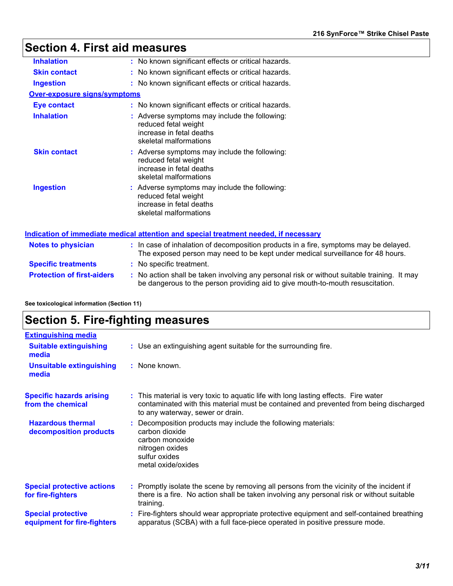## **Section 4. First aid measures**

| <b>Inhalation</b>                   | : No known significant effects or critical hazards.                                                                                                                      |
|-------------------------------------|--------------------------------------------------------------------------------------------------------------------------------------------------------------------------|
| <b>Skin contact</b>                 | : No known significant effects or critical hazards.                                                                                                                      |
| <b>Ingestion</b>                    | : No known significant effects or critical hazards.                                                                                                                      |
| <b>Over-exposure signs/symptoms</b> |                                                                                                                                                                          |
| <b>Eye contact</b>                  | : No known significant effects or critical hazards.                                                                                                                      |
| <b>Inhalation</b>                   | : Adverse symptoms may include the following:<br>reduced fetal weight<br>increase in fetal deaths<br>skeletal malformations                                              |
| <b>Skin contact</b>                 | : Adverse symptoms may include the following:<br>reduced fetal weight<br>increase in fetal deaths<br>skeletal malformations                                              |
| <b>Ingestion</b>                    | : Adverse symptoms may include the following:<br>reduced fetal weight<br>increase in fetal deaths<br>skeletal malformations                                              |
|                                     | <u>Indication of immediate medical attention and special treatment needed, if necessary</u>                                                                              |
| <b>Notes to physician</b>           | : In case of inhalation of decomposition products in a fire, symptoms may be delayed.<br>The exposed person may need to be kept under medical surveillance for 48 hours. |
| <b>Specific treatments</b>          | : No specific treatment.                                                                                                                                                 |
| <b>Protection of first-aiders</b>   | : No action shall be taken involving any personal risk or without suitable training. It may                                                                              |

**See toxicological information (Section 11)**

## **Section 5. Fire-fighting measures**

| <b>Extinguishing media</b>                               |                                                                                                                                                                                                                  |
|----------------------------------------------------------|------------------------------------------------------------------------------------------------------------------------------------------------------------------------------------------------------------------|
| <b>Suitable extinguishing</b><br>media                   | : Use an extinguishing agent suitable for the surrounding fire.                                                                                                                                                  |
| <b>Unsuitable extinguishing</b><br>media                 | : None known.                                                                                                                                                                                                    |
| <b>Specific hazards arising</b><br>from the chemical     | : This material is very toxic to aquatic life with long lasting effects. Fire water<br>contaminated with this material must be contained and prevented from being discharged<br>to any waterway, sewer or drain. |
| <b>Hazardous thermal</b><br>decomposition products       | Decomposition products may include the following materials:<br>carbon dioxide<br>carbon monoxide<br>nitrogen oxides<br>sulfur oxides<br>metal oxide/oxides                                                       |
| <b>Special protective actions</b><br>for fire-fighters   | : Promptly isolate the scene by removing all persons from the vicinity of the incident if<br>there is a fire. No action shall be taken involving any personal risk or without suitable<br>training.              |
| <b>Special protective</b><br>equipment for fire-fighters | : Fire-fighters should wear appropriate protective equipment and self-contained breathing<br>apparatus (SCBA) with a full face-piece operated in positive pressure mode.                                         |

be dangerous to the person providing aid to give mouth-to-mouth resuscitation.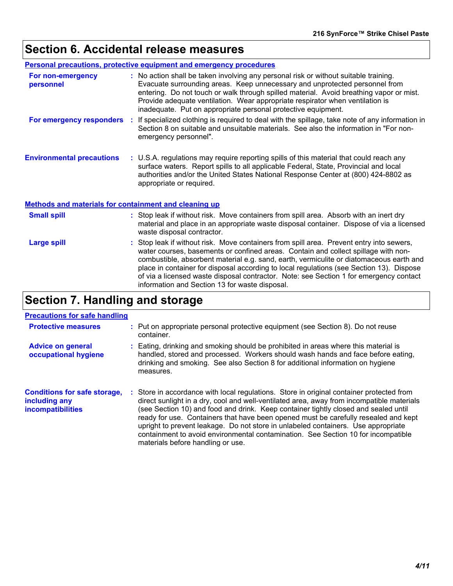## **Section 6. Accidental release measures**

| <b>Personal precautions, protective equipment and emergency procedures</b> |  |                                                                                                                                                                                                                                                                                                                                                                                                                                                                                                                   |  |  |
|----------------------------------------------------------------------------|--|-------------------------------------------------------------------------------------------------------------------------------------------------------------------------------------------------------------------------------------------------------------------------------------------------------------------------------------------------------------------------------------------------------------------------------------------------------------------------------------------------------------------|--|--|
| For non-emergency<br>personnel                                             |  | : No action shall be taken involving any personal risk or without suitable training.<br>Evacuate surrounding areas. Keep unnecessary and unprotected personnel from<br>entering. Do not touch or walk through spilled material. Avoid breathing vapor or mist.<br>Provide adequate ventilation. Wear appropriate respirator when ventilation is<br>inadequate. Put on appropriate personal protective equipment.                                                                                                  |  |  |
|                                                                            |  | For emergency responders : If specialized clothing is required to deal with the spillage, take note of any information in<br>Section 8 on suitable and unsuitable materials. See also the information in "For non-<br>emergency personnel".                                                                                                                                                                                                                                                                       |  |  |
| <b>Environmental precautions</b>                                           |  | : U.S.A. regulations may require reporting spills of this material that could reach any<br>surface waters. Report spills to all applicable Federal, State, Provincial and local<br>authorities and/or the United States National Response Center at (800) 424-8802 as<br>appropriate or required.                                                                                                                                                                                                                 |  |  |
| <b>Methods and materials for containment and cleaning up</b>               |  |                                                                                                                                                                                                                                                                                                                                                                                                                                                                                                                   |  |  |
| <b>Small spill</b>                                                         |  | : Stop leak if without risk. Move containers from spill area. Absorb with an inert dry<br>material and place in an appropriate waste disposal container. Dispose of via a licensed<br>waste disposal contractor.                                                                                                                                                                                                                                                                                                  |  |  |
| <b>Large spill</b>                                                         |  | : Stop leak if without risk. Move containers from spill area. Prevent entry into sewers,<br>water courses, basements or confined areas. Contain and collect spillage with non-<br>combustible, absorbent material e.g. sand, earth, vermiculite or diatomaceous earth and<br>place in container for disposal according to local regulations (see Section 13). Dispose<br>of via a licensed waste disposal contractor. Note: see Section 1 for emergency contact<br>information and Section 13 for waste disposal. |  |  |

## **Section 7. Handling and storage**

### **Precautions for safe handling**

| <b>Protective measures</b>                                                | : Put on appropriate personal protective equipment (see Section 8). Do not reuse<br>container.                                                                                                                                                                                                                                                                                                                                                                                                                                                                                     |
|---------------------------------------------------------------------------|------------------------------------------------------------------------------------------------------------------------------------------------------------------------------------------------------------------------------------------------------------------------------------------------------------------------------------------------------------------------------------------------------------------------------------------------------------------------------------------------------------------------------------------------------------------------------------|
| <b>Advice on general</b><br>occupational hygiene                          | : Eating, drinking and smoking should be prohibited in areas where this material is<br>handled, stored and processed. Workers should wash hands and face before eating,<br>drinking and smoking. See also Section 8 for additional information on hygiene<br>measures.                                                                                                                                                                                                                                                                                                             |
| <b>Conditions for safe storage,</b><br>including any<br>incompatibilities | : Store in accordance with local regulations. Store in original container protected from<br>direct sunlight in a dry, cool and well-ventilated area, away from incompatible materials<br>(see Section 10) and food and drink. Keep container tightly closed and sealed until<br>ready for use. Containers that have been opened must be carefully resealed and kept<br>upright to prevent leakage. Do not store in unlabeled containers. Use appropriate<br>containment to avoid environmental contamination. See Section 10 for incompatible<br>materials before handling or use. |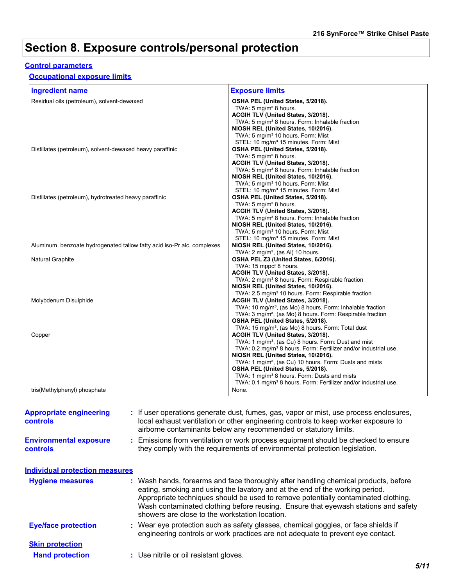## **Section 8. Exposure controls/personal protection**

### **Control parameters**

### **Occupational exposure limits**

| <b>Ingredient name</b>                                                  | <b>Exposure limits</b>                                                      |
|-------------------------------------------------------------------------|-----------------------------------------------------------------------------|
| Residual oils (petroleum), solvent-dewaxed                              | OSHA PEL (United States, 5/2018).                                           |
|                                                                         | TWA: $5 \text{ mg/m}^3$ 8 hours.                                            |
|                                                                         | ACGIH TLV (United States, 3/2018).                                          |
|                                                                         | TWA: 5 mg/m <sup>3</sup> 8 hours. Form: Inhalable fraction                  |
|                                                                         | NIOSH REL (United States, 10/2016).                                         |
|                                                                         | TWA: 5 mg/m <sup>3</sup> 10 hours. Form: Mist                               |
|                                                                         | STEL: 10 mg/m <sup>3</sup> 15 minutes. Form: Mist                           |
| Distillates (petroleum), solvent-dewaxed heavy paraffinic               | OSHA PEL (United States, 5/2018).                                           |
|                                                                         | TWA: 5 $mg/m3$ 8 hours.                                                     |
|                                                                         | ACGIH TLV (United States, 3/2018).                                          |
|                                                                         | TWA: 5 mg/m <sup>3</sup> 8 hours. Form: Inhalable fraction                  |
|                                                                         | NIOSH REL (United States, 10/2016).                                         |
|                                                                         | TWA: 5 mg/m <sup>3</sup> 10 hours. Form: Mist                               |
|                                                                         | STEL: 10 mg/m <sup>3</sup> 15 minutes. Form: Mist                           |
| Distillates (petroleum), hydrotreated heavy paraffinic                  | OSHA PEL (United States, 5/2018).                                           |
|                                                                         | TWA: 5 $mg/m3$ 8 hours.                                                     |
|                                                                         | ACGIH TLV (United States, 3/2018).                                          |
|                                                                         | TWA: 5 mg/m <sup>3</sup> 8 hours. Form: Inhalable fraction                  |
|                                                                         | NIOSH REL (United States, 10/2016).                                         |
|                                                                         | TWA: 5 mg/m <sup>3</sup> 10 hours. Form: Mist                               |
|                                                                         | STEL: 10 mg/m <sup>3</sup> 15 minutes. Form: Mist                           |
| Aluminum, benzoate hydrogenated tallow fatty acid iso-Pr alc. complexes | NIOSH REL (United States, 10/2016).                                         |
|                                                                         | TWA: $2 \text{ mg/m}^3$ , (as AI) 10 hours.                                 |
| Natural Graphite                                                        | OSHA PEL Z3 (United States, 6/2016).                                        |
|                                                                         | TWA: 15 mppcf 8 hours.                                                      |
|                                                                         | ACGIH TLV (United States, 3/2018).                                          |
|                                                                         | TWA: 2 mg/m <sup>3</sup> 8 hours. Form: Respirable fraction                 |
|                                                                         | NIOSH REL (United States, 10/2016).                                         |
|                                                                         | TWA: 2.5 mg/m <sup>3</sup> 10 hours. Form: Respirable fraction              |
| Molybdenum Disulphide                                                   | ACGIH TLV (United States, 3/2018).                                          |
|                                                                         | TWA: 10 mg/m <sup>3</sup> , (as Mo) 8 hours. Form: Inhalable fraction       |
|                                                                         | TWA: 3 mg/m <sup>3</sup> , (as Mo) 8 hours. Form: Respirable fraction       |
|                                                                         | OSHA PEL (United States, 5/2018).                                           |
|                                                                         | TWA: 15 mg/m <sup>3</sup> , (as Mo) 8 hours. Form: Total dust               |
| Copper                                                                  | ACGIH TLV (United States, 3/2018).                                          |
|                                                                         | TWA: 1 mg/m <sup>3</sup> , (as Cu) 8 hours. Form: Dust and mist             |
|                                                                         | TWA: 0.2 mg/m <sup>3</sup> 8 hours. Form: Fertilizer and/or industrial use. |
|                                                                         | NIOSH REL (United States, 10/2016).                                         |
|                                                                         | TWA: 1 mg/m <sup>3</sup> , (as Cu) 10 hours. Form: Dusts and mists          |
|                                                                         | OSHA PEL (United States, 5/2018).                                           |
|                                                                         | TWA: 1 mg/m <sup>3</sup> 8 hours. Form: Dusts and mists                     |
|                                                                         | TWA: 0.1 mg/m <sup>3</sup> 8 hours. Form: Fertilizer and/or industrial use. |
| tris(Methylphenyl) phosphate                                            | None.                                                                       |

| <b>Appropriate engineering</b><br>controls       | : If user operations generate dust, fumes, gas, vapor or mist, use process enclosures,<br>local exhaust ventilation or other engineering controls to keep worker exposure to<br>airborne contaminants below any recommended or statutory limits.                                                                                                                                                  |      |
|--------------------------------------------------|---------------------------------------------------------------------------------------------------------------------------------------------------------------------------------------------------------------------------------------------------------------------------------------------------------------------------------------------------------------------------------------------------|------|
| <b>Environmental exposure</b><br><b>controls</b> | : Emissions from ventilation or work process equipment should be checked to ensure<br>they comply with the requirements of environmental protection legislation.                                                                                                                                                                                                                                  |      |
| <b>Individual protection measures</b>            |                                                                                                                                                                                                                                                                                                                                                                                                   |      |
| <b>Hygiene measures</b>                          | : Wash hands, forearms and face thoroughly after handling chemical products, before<br>eating, smoking and using the lavatory and at the end of the working period.<br>Appropriate techniques should be used to remove potentially contaminated clothing.<br>Wash contaminated clothing before reusing. Ensure that eyewash stations and safety<br>showers are close to the workstation location. |      |
| <b>Eye/face protection</b>                       | : Wear eye protection such as safety glasses, chemical goggles, or face shields if<br>engineering controls or work practices are not adequate to prevent eye contact.                                                                                                                                                                                                                             |      |
| <b>Skin protection</b>                           |                                                                                                                                                                                                                                                                                                                                                                                                   |      |
| <b>Hand protection</b>                           | : Use nitrile or oil resistant gloves.                                                                                                                                                                                                                                                                                                                                                            |      |
|                                                  |                                                                                                                                                                                                                                                                                                                                                                                                   | 5/11 |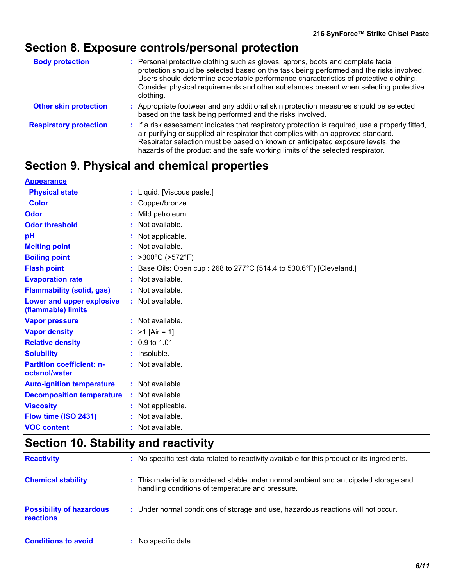# **Section 8. Exposure controls/personal protection**

| <b>Body protection</b>        | : Personal protective clothing such as gloves, aprons, boots and complete facial<br>protection should be selected based on the task being performed and the risks involved.                                                                                                                                                                                |
|-------------------------------|------------------------------------------------------------------------------------------------------------------------------------------------------------------------------------------------------------------------------------------------------------------------------------------------------------------------------------------------------------|
|                               | Users should determine acceptable performance characteristics of protective clothing.<br>Consider physical requirements and other substances present when selecting protective<br>clothing.                                                                                                                                                                |
| <b>Other skin protection</b>  | : Appropriate footwear and any additional skin protection measures should be selected<br>based on the task being performed and the risks involved.                                                                                                                                                                                                         |
| <b>Respiratory protection</b> | : If a risk assessment indicates that respiratory protection is required, use a properly fitted,<br>air-purifying or supplied air respirator that complies with an approved standard.<br>Respirator selection must be based on known or anticipated exposure levels, the<br>hazards of the product and the safe working limits of the selected respirator. |

## **Section 9. Physical and chemical properties**

| <b>Appearance</b>                                 |    |                                                                      |
|---------------------------------------------------|----|----------------------------------------------------------------------|
| <b>Physical state</b>                             |    | : Liquid. [Viscous paste.]                                           |
| <b>Color</b>                                      |    | : Copper/bronze.                                                     |
| Odor                                              |    | : Mild petroleum.                                                    |
| <b>Odor threshold</b>                             |    | : Not available.                                                     |
| pH                                                |    | : Not applicable.                                                    |
| <b>Melting point</b>                              |    | : Not available.                                                     |
| <b>Boiling point</b>                              |    | : $>300^{\circ}$ C ( $>572^{\circ}$ F)                               |
| <b>Flash point</b>                                |    | : Base Oils: Open cup : 268 to 277°C (514.4 to 530.6°F) [Cleveland.] |
| <b>Evaporation rate</b>                           |    | : Not available.                                                     |
| <b>Flammability (solid, gas)</b>                  |    | : Not available.                                                     |
| Lower and upper explosive<br>(flammable) limits   |    | : Not available.                                                     |
| <b>Vapor pressure</b>                             |    | : Not available.                                                     |
| <b>Vapor density</b>                              |    | : $>1$ [Air = 1]                                                     |
| <b>Relative density</b>                           |    | $: 0.9 \text{ to } 1.01$                                             |
| <b>Solubility</b>                                 |    | $:$ Insoluble.                                                       |
| <b>Partition coefficient: n-</b><br>octanol/water |    | : Not available.                                                     |
| <b>Auto-ignition temperature</b>                  |    | : Not available.                                                     |
| <b>Decomposition temperature</b>                  |    | : Not available.                                                     |
| <b>Viscosity</b>                                  |    | : Not applicable.                                                    |
| Flow time (ISO 2431)                              |    | Not available.                                                       |
| <b>VOC content</b>                                | ÷. | Not available.                                                       |

## **Section 10. Stability and reactivity**

| <b>Reactivity</b>                            | : No specific test data related to reactivity available for this product or its ingredients.                                              |
|----------------------------------------------|-------------------------------------------------------------------------------------------------------------------------------------------|
| <b>Chemical stability</b>                    | : This material is considered stable under normal ambient and anticipated storage and<br>handling conditions of temperature and pressure. |
| <b>Possibility of hazardous</b><br>reactions | : Under normal conditions of storage and use, hazardous reactions will not occur.                                                         |
| <b>Conditions to avoid</b>                   | : No specific data.                                                                                                                       |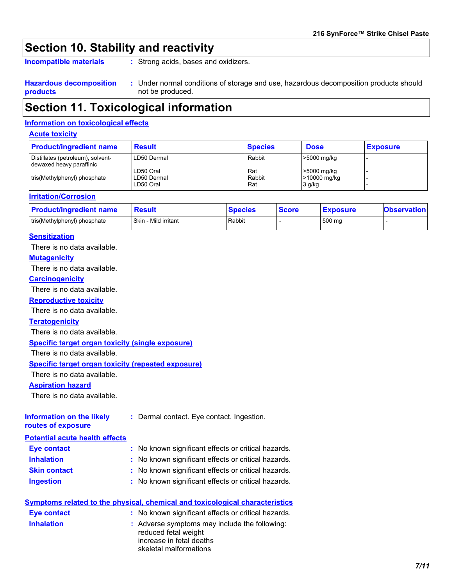## **Section 10. Stability and reactivity**

**Incompatible materials :**

: Strong acids, bases and oxidizers.

**Hazardous decomposition products** Under normal conditions of storage and use, hazardous decomposition products should **:** not be produced.

## **Section 11. Toxicological information**

#### **Information on toxicological effects**

#### **Acute toxicity**

| <b>Product/ingredient name</b>                                | <b>Result</b>                         | <b>Species</b>       | <b>Dose</b>                           | <b>Exposure</b> |
|---------------------------------------------------------------|---------------------------------------|----------------------|---------------------------------------|-----------------|
| Distillates (petroleum), solvent-<br>dewaxed heavy paraffinic | LD50 Dermal                           | Rabbit               | >5000 mg/kg                           |                 |
| tris(Methylphenyl) phosphate                                  | LD50 Oral<br>LD50 Dermal<br>LD50 Oral | Rat<br>Rabbit<br>Rat | >5000 mg/kg<br>>10000 mg/kg<br>3 g/kg |                 |

#### **Irritation/Corrosion**

| <b>Product/ingredient name</b> | <b>Resul</b> *       | <b>Species</b> | <b>Score</b> | <b>Exposure</b> | <b>Observation</b> |
|--------------------------------|----------------------|----------------|--------------|-----------------|--------------------|
| tris(Methylphenyl) phosphate   | Skin - Mild irritant | Rabbit         |              | 500 mg          |                    |

#### **Sensitization**

There is no data available.

#### **Mutagenicity**

There is no data available.

#### **Carcinogenicity**

There is no data available.

#### **Reproductive toxicity**

There is no data available.

#### **Teratogenicity**

There is no data available.

#### **Specific target organ toxicity (single exposure)**

There is no data available.

#### **Specific target organ toxicity (repeated exposure)**

There is no data available.

#### **Aspiration hazard**

There is no data available.

| <b>Information on the likely</b> | : Dermal contact. Eye contact. Ingestion. |
|----------------------------------|-------------------------------------------|
| routes of exposure               |                                           |

#### **Potential acute health effects**

| <b>Eye contact</b>  | : No known significant effects or critical hazards. |
|---------------------|-----------------------------------------------------|
| <b>Inhalation</b>   | : No known significant effects or critical hazards. |
| <b>Skin contact</b> | : No known significant effects or critical hazards. |
| <b>Ingestion</b>    | : No known significant effects or critical hazards. |

| Symptoms related to the physical, chemical and toxicological characteristics |                                                                                                                             |  |  |
|------------------------------------------------------------------------------|-----------------------------------------------------------------------------------------------------------------------------|--|--|
| Eye contact                                                                  | : No known significant effects or critical hazards.                                                                         |  |  |
| <b>Inhalation</b>                                                            | : Adverse symptoms may include the following:<br>reduced fetal weight<br>increase in fetal deaths<br>skeletal malformations |  |  |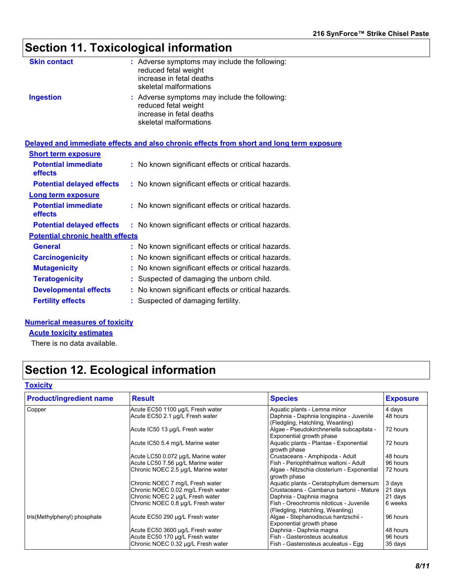## **Section 11. Toxicological information**

| <b>Skin contact</b> | : Adverse symptoms may include the following:<br>reduced fetal weight<br>increase in fetal deaths<br>skeletal malformations |
|---------------------|-----------------------------------------------------------------------------------------------------------------------------|
| <b>Ingestion</b>    | : Adverse symptoms may include the following:<br>reduced fetal weight<br>increase in fetal deaths<br>skeletal malformations |

#### **Delayed and immediate effects and also chronic effects from short and long term exposure**

| <b>Short term exposure</b>                   |    |                                                     |
|----------------------------------------------|----|-----------------------------------------------------|
| <b>Potential immediate</b><br><b>effects</b> |    | : No known significant effects or critical hazards. |
| <b>Potential delayed effects</b>             |    | : No known significant effects or critical hazards. |
| <b>Long term exposure</b>                    |    |                                                     |
| <b>Potential immediate</b><br><b>effects</b> |    | : No known significant effects or critical hazards. |
| <b>Potential delayed effects</b>             |    | : No known significant effects or critical hazards. |
| <b>Potential chronic health effects</b>      |    |                                                     |
| General                                      |    | : No known significant effects or critical hazards. |
| <b>Carcinogenicity</b>                       |    | : No known significant effects or critical hazards. |
| <b>Mutagenicity</b>                          | t. | No known significant effects or critical hazards.   |
| <b>Teratogenicity</b>                        | ÷. | Suspected of damaging the unborn child.             |
| <b>Developmental effects</b>                 | t. | No known significant effects or critical hazards.   |
| <b>Fertility effects</b>                     |    | Suspected of damaging fertility.                    |

#### **Numerical measures of toxicity**

**Acute toxicity estimates**

There is no data available.

## **Section 12. Ecological information**

#### **Toxicity**

| <b>Product/ingredient name</b> | <b>Result</b>                      | <b>Species</b>                                                              | <b>Exposure</b> |
|--------------------------------|------------------------------------|-----------------------------------------------------------------------------|-----------------|
| Copper                         | Acute EC50 1100 µg/L Fresh water   | Aquatic plants - Lemna minor                                                | 4 days          |
|                                | Acute EC50 2.1 µg/L Fresh water    | Daphnia - Daphnia longispina - Juvenile<br>(Fledgling, Hatchling, Weanling) | 48 hours        |
|                                | Acute IC50 13 µg/L Fresh water     | Algae - Pseudokirchneriella subcapitata -<br>Exponential growth phase       | 72 hours        |
|                                | Acute IC50 5.4 mg/L Marine water   | Aquatic plants - Plantae - Exponential<br>growth phase                      | 72 hours        |
|                                | Acute LC50 0.072 µg/L Marine water | Crustaceans - Amphipoda - Adult                                             | 48 hours        |
|                                | Acute LC50 7.56 µg/L Marine water  | Fish - Periophthalmus waltoni - Adult                                       | 96 hours        |
|                                | Chronic NOEC 2.5 µg/L Marine water | Algae - Nitzschia closterium - Exponential<br>growth phase                  | 72 hours        |
|                                | Chronic NOEC 7 mg/L Fresh water    | Aquatic plants - Ceratophyllum demersum                                     | 3 days          |
|                                | Chronic NOEC 0.02 mg/L Fresh water | Crustaceans - Cambarus bartonii - Mature                                    | 21 days         |
|                                | Chronic NOEC 2 µg/L Fresh water    | Daphnia - Daphnia magna                                                     | 21 days         |
|                                | Chronic NOEC 0.8 µg/L Fresh water  | Fish - Oreochromis niloticus - Juvenile<br>(Fledgling, Hatchling, Weanling) | 6 weeks         |
| tris(Methylphenyl) phosphate   | Acute EC50 290 µg/L Fresh water    | Algae - Stephanodiscus hantzschii -<br>Exponential growth phase             | 96 hours        |
|                                | Acute EC50 3600 µg/L Fresh water   | Daphnia - Daphnia magna                                                     | 48 hours        |
|                                | Acute EC50 170 µg/L Fresh water    | Fish - Gasterosteus aculeatus                                               | 96 hours        |
|                                | Chronic NOEC 0.32 µg/L Fresh water | Fish - Gasterosteus aculeatus - Egg                                         | 35 days         |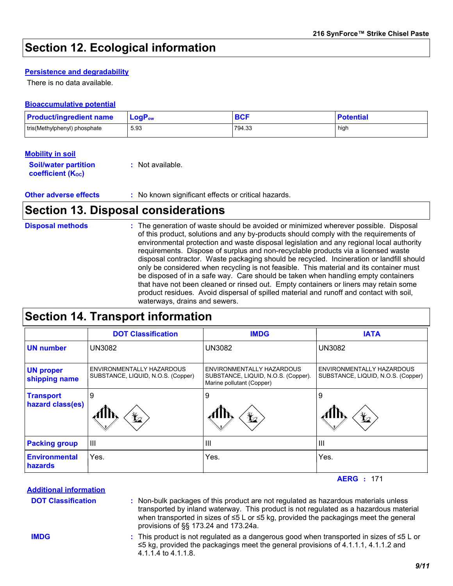## **Section 12. Ecological information**

#### **Persistence and degradability**

There is no data available.

#### **Bioaccumulative potential**

| <b>Product/ingredient name</b> | $LogP_{ow}$ | <b>BCF</b> | <b>Potential</b> |
|--------------------------------|-------------|------------|------------------|
| tris(Methylphenyl) phosphate   | 5.93        | 794.33     | high             |

#### **Mobility in soil**

| <b>Soil/water partition</b> | : Not available. |
|-----------------------------|------------------|
| <b>coefficient (Koc)</b>    |                  |

#### **Other adverse effects** : No known significant effects or critical hazards.

### **Section 13. Disposal considerations**

The generation of waste should be avoided or minimized wherever possible. Disposal of this product, solutions and any by-products should comply with the requirements of environmental protection and waste disposal legislation and any regional local authority requirements. Dispose of surplus and non-recyclable products via a licensed waste disposal contractor. Waste packaging should be recycled. Incineration or landfill should only be considered when recycling is not feasible. This material and its container must be disposed of in a safe way. Care should be taken when handling empty containers that have not been cleaned or rinsed out. Empty containers or liners may retain some product residues. Avoid dispersal of spilled material and runoff and contact with soil, waterways, drains and sewers. **Disposal methods :**

## **Section 14. Transport information**

|                                      | <b>DOT Classification</b>                                       | <b>IMDG</b>                                                                                   | <b>IATA</b>                                                     |
|--------------------------------------|-----------------------------------------------------------------|-----------------------------------------------------------------------------------------------|-----------------------------------------------------------------|
| <b>UN number</b>                     | <b>UN3082</b>                                                   | <b>UN3082</b>                                                                                 | <b>UN3082</b>                                                   |
| <b>UN proper</b><br>shipping name    | ENVIRONMENTALLY HAZARDOUS<br>SUBSTANCE, LIQUID, N.O.S. (Copper) | ENVIRONMENTALLY HAZARDOUS<br>SUBSTANCE, LIQUID, N.O.S. (Copper).<br>Marine pollutant (Copper) | ENVIRONMENTALLY HAZARDOUS<br>SUBSTANCE, LIQUID, N.O.S. (Copper) |
| <b>Transport</b><br>hazard class(es) | 9<br>¥∠                                                         | 9<br>$\bigstar$                                                                               | 9<br>$\bigstar$                                                 |
| <b>Packing group</b>                 | $\mathbf{III}$                                                  | Ш                                                                                             | $\mathbf{III}$                                                  |
| <b>Environmental</b><br>hazards      | Yes.                                                            | Yes.                                                                                          | Yes.                                                            |

**AERG :** 171

Non-bulk packages of this product are not regulated as hazardous materials unless **:** transported by inland waterway. This product is not regulated as a hazardous material when transported in sizes of ≤5 L or ≤5 kg, provided the packagings meet the general provisions of §§ 173.24 and 173.24a. This product is not regulated as a dangerous good when transported in sizes of ≤5 L or **:** ≤5 kg, provided the packagings meet the general provisions of 4.1.1.1, 4.1.1.2 and **Additional information DOT Classification IMDG**

4.1.1.4 to 4.1.1.8.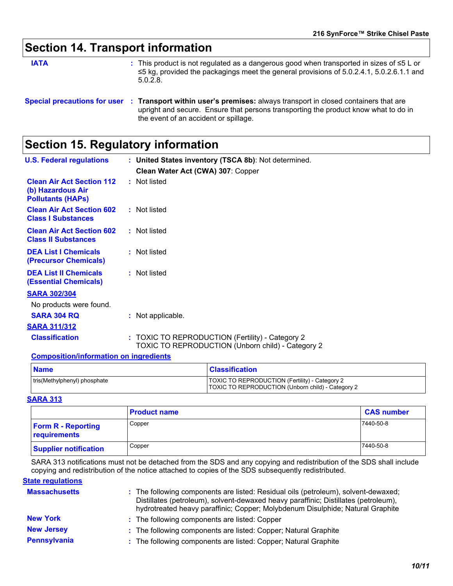## **Section 14. Transport information**

**IATA** state of the product is not regulated as a dangerous good when transported in sizes of ≤5 L or and the state of the state of the state of the state of the state of the state of the state of the state of the state o ≤5 kg, provided the packagings meet the general provisions of 5.0.2.4.1, 5.0.2.6.1.1 and 5.0.2.8.

## **Section 15. Regulatory information**

|                                                                                   | Special precautions for user : Transport within user's premises: always transport in closed containers that are<br>upright and secure. Ensure that persons transporting the product know what to do in<br>the event of an accident or spillage. |
|-----------------------------------------------------------------------------------|-------------------------------------------------------------------------------------------------------------------------------------------------------------------------------------------------------------------------------------------------|
| <b>Section 15. Regulatory information</b>                                         |                                                                                                                                                                                                                                                 |
| <b>U.S. Federal regulations</b>                                                   | : United States inventory (TSCA 8b): Not determined.                                                                                                                                                                                            |
|                                                                                   | Clean Water Act (CWA) 307: Copper                                                                                                                                                                                                               |
| <b>Clean Air Act Section 112</b><br>(b) Hazardous Air<br><b>Pollutants (HAPS)</b> | : Not listed                                                                                                                                                                                                                                    |
| <b>Clean Air Act Section 602</b><br><b>Class I Substances</b>                     | : Not listed                                                                                                                                                                                                                                    |
| <b>Clean Air Act Section 602</b><br><b>Class II Substances</b>                    | : Not listed                                                                                                                                                                                                                                    |
| <b>DEA List I Chemicals</b><br>(Precursor Chemicals)                              | : Not listed                                                                                                                                                                                                                                    |
| <b>DEA List II Chemicals</b><br><b>(Essential Chemicals)</b>                      | : Not listed                                                                                                                                                                                                                                    |
| <b>SARA 302/304</b>                                                               |                                                                                                                                                                                                                                                 |
| No products were found.                                                           |                                                                                                                                                                                                                                                 |
| <b>SARA 304 RQ</b>                                                                | : Not applicable.                                                                                                                                                                                                                               |
| <b>SARA 311/312</b>                                                               |                                                                                                                                                                                                                                                 |
| <b>Classification</b>                                                             | : TOXIC TO REPRODUCTION (Fertility) - Category 2<br>TOXIC TO REPRODUCTION (Unborn child) - Category 2                                                                                                                                           |
| <b>Composition/information on ingredients</b>                                     |                                                                                                                                                                                                                                                 |

| <b>Name</b>                  | <b>Classification</b>                                                                               |
|------------------------------|-----------------------------------------------------------------------------------------------------|
| tris(Methylphenyl) phosphate | TOXIC TO REPRODUCTION (Fertility) - Category 2<br>TOXIC TO REPRODUCTION (Unborn child) - Category 2 |

#### **SARA 313**

|                                           | <b>Product name</b> | <b>CAS number</b> |  |
|-------------------------------------------|---------------------|-------------------|--|
| <b>Form R - Reporting</b><br>requirements | Copper              | 7440-50-8         |  |
| <b>Supplier notification</b>              | Copper              | 7440-50-8         |  |

SARA 313 notifications must not be detached from the SDS and any copying and redistribution of the SDS shall include copying and redistribution of the notice attached to copies of the SDS subsequently redistributed.

#### **State regulations**

| <b>Massachusetts</b> | : The following components are listed: Residual oils (petroleum), solvent-dewaxed;<br>Distillates (petroleum), solvent-dewaxed heavy paraffinic; Distillates (petroleum),<br>hydrotreated heavy paraffinic; Copper; Molybdenum Disulphide; Natural Graphite |
|----------------------|-------------------------------------------------------------------------------------------------------------------------------------------------------------------------------------------------------------------------------------------------------------|
| <b>New York</b>      | : The following components are listed: Copper                                                                                                                                                                                                               |
| <b>New Jersey</b>    | : The following components are listed: Copper; Natural Graphite                                                                                                                                                                                             |
| Pennsylvania         | : The following components are listed: Copper; Natural Graphite                                                                                                                                                                                             |